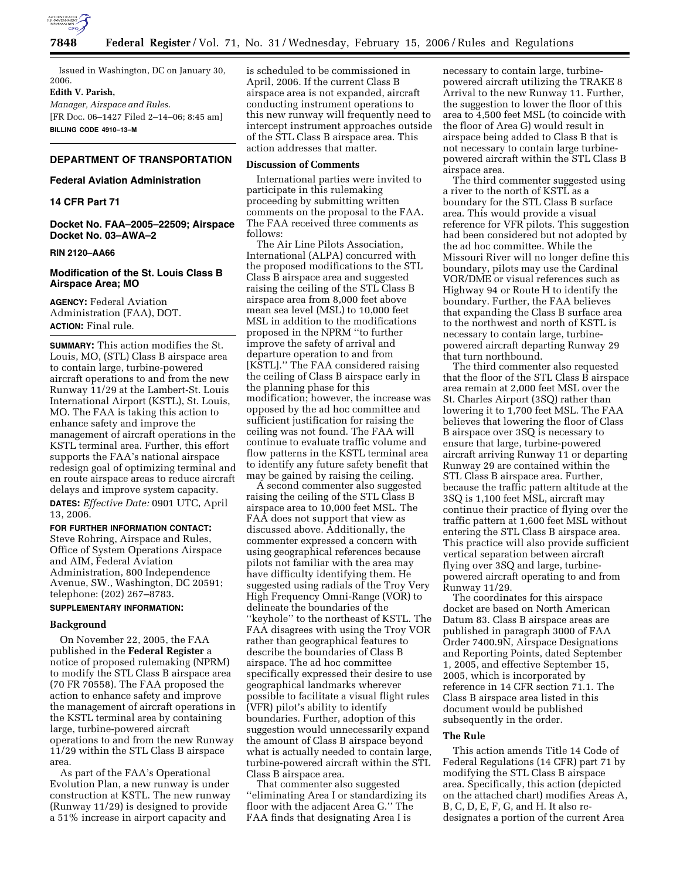

Issued in Washington, DC on January 30, 2006.

#### **Edith V. Parish,**

*Manager, Airspace and Rules.*  [FR Doc. 06–1427 Filed 2–14–06; 8:45 am] **BILLING CODE 4910–13–M** 

# **DEPARTMENT OF TRANSPORTATION**

#### **Federal Aviation Administration**

## **14 CFR Part 71**

**Docket No. FAA–2005–22509; Airspace Docket No. 03–AWA–2** 

### **RIN 2120–AA66**

## **Modification of the St. Louis Class B Airspace Area; MO**

**AGENCY:** Federal Aviation Administration (FAA), DOT. **ACTION:** Final rule.

**SUMMARY:** This action modifies the St. Louis, MO, (STL) Class B airspace area to contain large, turbine-powered aircraft operations to and from the new Runway 11/29 at the Lambert-St. Louis International Airport (KSTL), St. Louis, MO. The FAA is taking this action to enhance safety and improve the management of aircraft operations in the KSTL terminal area. Further, this effort supports the FAA's national airspace redesign goal of optimizing terminal and en route airspace areas to reduce aircraft delays and improve system capacity. **DATES:** *Effective Date:* 0901 UTC, April 13, 2006.

#### **FOR FURTHER INFORMATION CONTACT:**

Steve Rohring, Airspace and Rules, Office of System Operations Airspace and AIM, Federal Aviation Administration, 800 Independence Avenue, SW., Washington, DC 20591; telephone: (202) 267–8783.

## **SUPPLEMENTARY INFORMATION:**

## **Background**

On November 22, 2005, the FAA published in the **Federal Register** a notice of proposed rulemaking (NPRM) to modify the STL Class B airspace area (70 FR 70558). The FAA proposed the action to enhance safety and improve the management of aircraft operations in the KSTL terminal area by containing large, turbine-powered aircraft operations to and from the new Runway 11/29 within the STL Class B airspace area.

As part of the FAA's Operational Evolution Plan, a new runway is under construction at KSTL. The new runway (Runway 11/29) is designed to provide a 51% increase in airport capacity and

is scheduled to be commissioned in April, 2006. If the current Class B airspace area is not expanded, aircraft conducting instrument operations to this new runway will frequently need to intercept instrument approaches outside of the STL Class B airspace area. This action addresses that matter.

#### **Discussion of Comments**

International parties were invited to participate in this rulemaking proceeding by submitting written comments on the proposal to the FAA. The FAA received three comments as follows:

The Air Line Pilots Association, International (ALPA) concurred with the proposed modifications to the STL Class B airspace area and suggested raising the ceiling of the STL Class B airspace area from 8,000 feet above mean sea level (MSL) to 10,000 feet MSL in addition to the modifications proposed in the NPRM ''to further improve the safety of arrival and departure operation to and from [KSTL].'' The FAA considered raising the ceiling of Class B airspace early in the planning phase for this modification; however, the increase was opposed by the ad hoc committee and sufficient justification for raising the ceiling was not found. The FAA will continue to evaluate traffic volume and flow patterns in the KSTL terminal area to identify any future safety benefit that may be gained by raising the ceiling.

A second commenter also suggested raising the ceiling of the STL Class B airspace area to 10,000 feet MSL. The FAA does not support that view as discussed above. Additionally, the commenter expressed a concern with using geographical references because pilots not familiar with the area may have difficulty identifying them. He suggested using radials of the Troy Very High Frequency Omni-Range (VOR) to delineate the boundaries of the ''keyhole'' to the northeast of KSTL. The FAA disagrees with using the Troy VOR rather than geographical features to describe the boundaries of Class B airspace. The ad hoc committee specifically expressed their desire to use geographical landmarks wherever possible to facilitate a visual flight rules (VFR) pilot's ability to identify boundaries. Further, adoption of this suggestion would unnecessarily expand the amount of Class B airspace beyond what is actually needed to contain large, turbine-powered aircraft within the STL Class B airspace area.

That commenter also suggested ''eliminating Area I or standardizing its floor with the adjacent Area G.'' The FAA finds that designating Area I is

necessary to contain large, turbinepowered aircraft utilizing the TRAKE 8 Arrival to the new Runway 11. Further, the suggestion to lower the floor of this area to 4,500 feet MSL (to coincide with the floor of Area G) would result in airspace being added to Class B that is not necessary to contain large turbinepowered aircraft within the STL Class B airspace area.

The third commenter suggested using a river to the north of KSTL as a boundary for the STL Class B surface area. This would provide a visual reference for VFR pilots. This suggestion had been considered but not adopted by the ad hoc committee. While the Missouri River will no longer define this boundary, pilots may use the Cardinal VOR/DME or visual references such as Highway 94 or Route H to identify the boundary. Further, the FAA believes that expanding the Class B surface area to the northwest and north of KSTL is necessary to contain large, turbinepowered aircraft departing Runway 29 that turn northbound.

The third commenter also requested that the floor of the STL Class B airspace area remain at 2,000 feet MSL over the St. Charles Airport (3SQ) rather than lowering it to 1,700 feet MSL. The FAA believes that lowering the floor of Class B airspace over 3SQ is necessary to ensure that large, turbine-powered aircraft arriving Runway 11 or departing Runway 29 are contained within the STL Class B airspace area. Further, because the traffic pattern altitude at the 3SQ is 1,100 feet MSL, aircraft may continue their practice of flying over the traffic pattern at 1,600 feet MSL without entering the STL Class B airspace area. This practice will also provide sufficient vertical separation between aircraft flying over 3SQ and large, turbinepowered aircraft operating to and from Runway 11/29.

The coordinates for this airspace docket are based on North American Datum 83. Class B airspace areas are published in paragraph 3000 of FAA Order 7400.9N, Airspace Designations and Reporting Points, dated September 1, 2005, and effective September 15, 2005, which is incorporated by reference in 14 CFR section 71.1. The Class B airspace area listed in this document would be published subsequently in the order.

#### **The Rule**

This action amends Title 14 Code of Federal Regulations (14 CFR) part 71 by modifying the STL Class B airspace area. Specifically, this action (depicted on the attached chart) modifies Areas A, B, C, D, E, F, G, and H. It also redesignates a portion of the current Area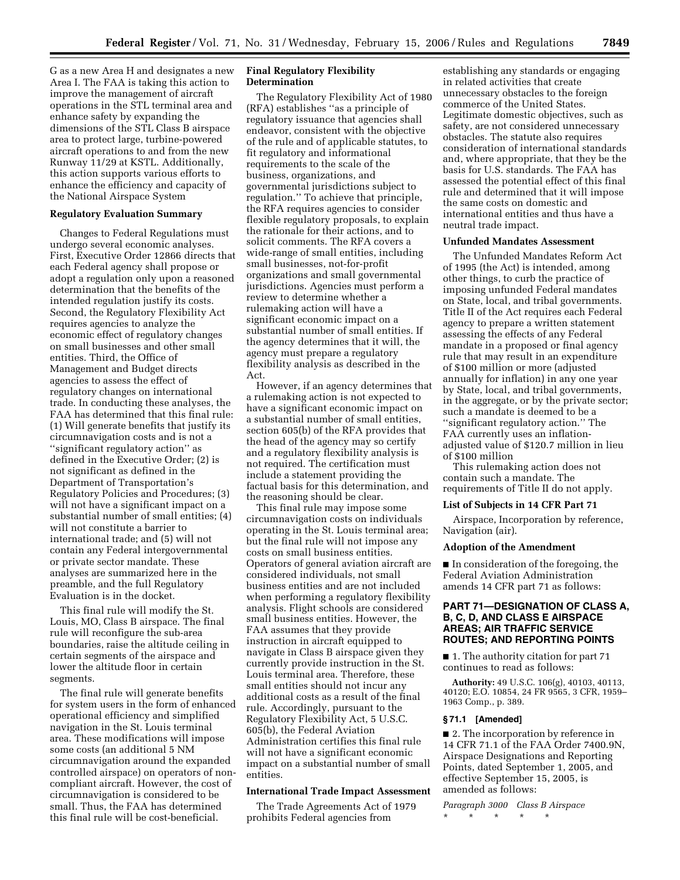G as a new Area H and designates a new Area I. The FAA is taking this action to improve the management of aircraft operations in the STL terminal area and enhance safety by expanding the dimensions of the STL Class B airspace area to protect large, turbine-powered aircraft operations to and from the new Runway 11/29 at KSTL. Additionally, this action supports various efforts to enhance the efficiency and capacity of the National Airspace System

### **Regulatory Evaluation Summary**

Changes to Federal Regulations must undergo several economic analyses. First, Executive Order 12866 directs that each Federal agency shall propose or adopt a regulation only upon a reasoned determination that the benefits of the intended regulation justify its costs. Second, the Regulatory Flexibility Act requires agencies to analyze the economic effect of regulatory changes on small businesses and other small entities. Third, the Office of Management and Budget directs agencies to assess the effect of regulatory changes on international trade. In conducting these analyses, the FAA has determined that this final rule: (1) Will generate benefits that justify its circumnavigation costs and is not a ''significant regulatory action'' as defined in the Executive Order; (2) is not significant as defined in the Department of Transportation's Regulatory Policies and Procedures; (3) will not have a significant impact on a substantial number of small entities; (4) will not constitute a barrier to international trade; and (5) will not contain any Federal intergovernmental or private sector mandate. These analyses are summarized here in the preamble, and the full Regulatory Evaluation is in the docket.

This final rule will modify the St. Louis, MO, Class B airspace. The final rule will reconfigure the sub-area boundaries, raise the altitude ceiling in certain segments of the airspace and lower the altitude floor in certain segments.

The final rule will generate benefits for system users in the form of enhanced operational efficiency and simplified navigation in the St. Louis terminal area. These modifications will impose some costs (an additional 5 NM circumnavigation around the expanded controlled airspace) on operators of noncompliant aircraft. However, the cost of circumnavigation is considered to be small. Thus, the FAA has determined this final rule will be cost-beneficial.

## **Final Regulatory Flexibility Determination**

The Regulatory Flexibility Act of 1980 (RFA) establishes ''as a principle of regulatory issuance that agencies shall endeavor, consistent with the objective of the rule and of applicable statutes, to fit regulatory and informational requirements to the scale of the business, organizations, and governmental jurisdictions subject to regulation.'' To achieve that principle, the RFA requires agencies to consider flexible regulatory proposals, to explain the rationale for their actions, and to solicit comments. The RFA covers a wide-range of small entities, including small businesses, not-for-profit organizations and small governmental jurisdictions. Agencies must perform a review to determine whether a rulemaking action will have a significant economic impact on a substantial number of small entities. If the agency determines that it will, the agency must prepare a regulatory flexibility analysis as described in the Act.

However, if an agency determines that a rulemaking action is not expected to have a significant economic impact on a substantial number of small entities, section 605(b) of the RFA provides that the head of the agency may so certify and a regulatory flexibility analysis is not required. The certification must include a statement providing the factual basis for this determination, and the reasoning should be clear.

This final rule may impose some circumnavigation costs on individuals operating in the St. Louis terminal area; but the final rule will not impose any costs on small business entities. Operators of general aviation aircraft are considered individuals, not small business entities and are not included when performing a regulatory flexibility analysis. Flight schools are considered small business entities. However, the FAA assumes that they provide instruction in aircraft equipped to navigate in Class B airspace given they currently provide instruction in the St. Louis terminal area. Therefore, these small entities should not incur any additional costs as a result of the final rule. Accordingly, pursuant to the Regulatory Flexibility Act, 5 U.S.C. 605(b), the Federal Aviation Administration certifies this final rule will not have a significant economic impact on a substantial number of small entities.

## **International Trade Impact Assessment**

The Trade Agreements Act of 1979 prohibits Federal agencies from

establishing any standards or engaging in related activities that create unnecessary obstacles to the foreign commerce of the United States. Legitimate domestic objectives, such as safety, are not considered unnecessary obstacles. The statute also requires consideration of international standards and, where appropriate, that they be the basis for U.S. standards. The FAA has assessed the potential effect of this final rule and determined that it will impose the same costs on domestic and international entities and thus have a neutral trade impact.

#### **Unfunded Mandates Assessment**

The Unfunded Mandates Reform Act of 1995 (the Act) is intended, among other things, to curb the practice of imposing unfunded Federal mandates on State, local, and tribal governments. Title II of the Act requires each Federal agency to prepare a written statement assessing the effects of any Federal mandate in a proposed or final agency rule that may result in an expenditure of \$100 million or more (adjusted annually for inflation) in any one year by State, local, and tribal governments, in the aggregate, or by the private sector; such a mandate is deemed to be a ''significant regulatory action.'' The FAA currently uses an inflationadjusted value of \$120.7 million in lieu of \$100 million

This rulemaking action does not contain such a mandate. The requirements of Title II do not apply.

# **List of Subjects in 14 CFR Part 71**

Airspace, Incorporation by reference, Navigation (air).

#### **Adoption of the Amendment**

■ In consideration of the foregoing, the Federal Aviation Administration amends 14 CFR part 71 as follows:

## **PART 71—DESIGNATION OF CLASS A, B, C, D, AND CLASS E AIRSPACE AREAS; AIR TRAFFIC SERVICE ROUTES; AND REPORTING POINTS**

■ 1. The authority citation for part 71 continues to read as follows:

**Authority:** 49 U.S.C. 106(g), 40103, 40113, 40120; E.O. 10854, 24 FR 9565, 3 CFR, 1959– 1963 Comp., p. 389.

### **§ 71.1 [Amended]**

■ 2. The incorporation by reference in 14 CFR 71.1 of the FAA Order 7400.9N, Airspace Designations and Reporting Points, dated September 1, 2005, and effective September 15, 2005, is amended as follows:

*Paragraph 3000 Class B Airspace*  \* \* \* \* \*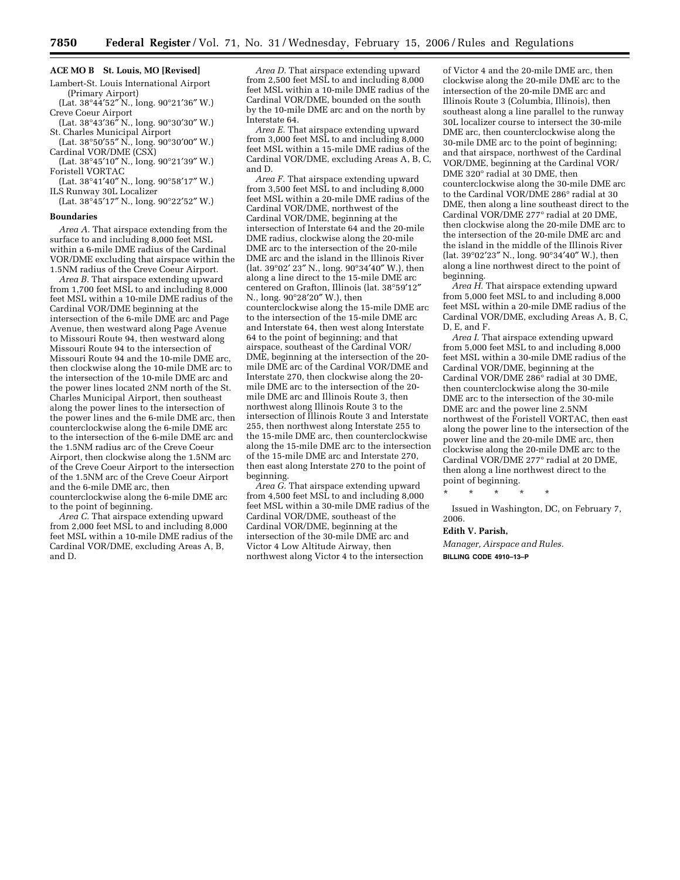# **ACE MO B St. Louis, MO [Revised]**

Lambert-St. Louis International Airport (Primary Airport)

(Lat. 38°44′52″ N., long. 90°21′36″ W.) Creve Coeur Airport

(Lat. 38°43′36″ N., long. 90°30′30″ W.) St. Charles Municipal Airport

(Lat. 38°50′55″ N., long. 90°30′00″ W.) Cardinal VOR/DME (CSX)

(Lat. 38°45′10″ N., long. 90°21′39″ W.) Foristell VORTAC

(Lat. 38°41′40″ N., long. 90°58′17″ W.) ILS Runway 30L Localizer

(Lat. 38°45′17″ N., long. 90°22′52″ W.)

#### **Boundaries**

*Area A.* That airspace extending from the surface to and including 8,000 feet MSL within a 6-mile DME radius of the Cardinal VOR/DME excluding that airspace within the 1.5NM radius of the Creve Coeur Airport.

*Area B.* That airspace extending upward from 1,700 feet MSL to and including 8,000 feet MSL within a 10-mile DME radius of the Cardinal VOR/DME beginning at the intersection of the 6-mile DME arc and Page Avenue, then westward along Page Avenue to Missouri Route 94, then westward along Missouri Route 94 to the intersection of Missouri Route 94 and the 10-mile DME arc, then clockwise along the 10-mile DME arc to the intersection of the 10-mile DME arc and the power lines located 2NM north of the St. Charles Municipal Airport, then southeast along the power lines to the intersection of the power lines and the 6-mile DME arc, then counterclockwise along the 6-mile DME arc to the intersection of the 6-mile DME arc and the 1.5NM radius arc of the Creve Coeur Airport, then clockwise along the 1.5NM arc of the Creve Coeur Airport to the intersection of the 1.5NM arc of the Creve Coeur Airport and the 6-mile DME arc, then counterclockwise along the 6-mile DME arc

to the point of beginning.

*Area C.* That airspace extending upward from 2,000 feet MSL to and including 8,000 feet MSL within a 10-mile DME radius of the Cardinal VOR/DME, excluding Areas A, B, and D.

*Area D.* That airspace extending upward from 2,500 feet MSL to and including 8,000 feet MSL within a 10-mile DME radius of the Cardinal VOR/DME, bounded on the south by the 10-mile DME arc and on the north by Interstate 64.

*Area E.* That airspace extending upward from 3,000 feet MSL to and including 8,000 feet MSL within a 15-mile DME radius of the Cardinal VOR/DME, excluding Areas A, B, C, and D.

*Area F.* That airspace extending upward from 3,500 feet MSL to and including 8,000 feet MSL within a 20-mile DME radius of the Cardinal VOR/DME, northwest of the Cardinal VOR/DME, beginning at the intersection of Interstate 64 and the 20-mile DME radius, clockwise along the 20-mile DME arc to the intersection of the 20-mile DME arc and the island in the Illinois River (lat. 39°02′ 23″ N., long. 90°34′40″ W.), then along a line direct to the 15-mile DME arc centered on Grafton, Illinois (lat. 38°59′12″ N., long. 90°28′20″ W.), then counterclockwise along the 15-mile DME arc to the intersection of the 15-mile DME arc and Interstate 64, then west along Interstate 64 to the point of beginning; and that airspace, southeast of the Cardinal VOR/ DME, beginning at the intersection of the 20 mile DME arc of the Cardinal VOR/DME and Interstate 270, then clockwise along the 20 mile DME arc to the intersection of the 20 mile DME arc and Illinois Route 3, then northwest along Illinois Route 3 to the intersection of Illinois Route 3 and Interstate 255, then northwest along Interstate 255 to the 15-mile DME arc, then counterclockwise along the 15-mile DME arc to the intersection of the 15-mile DME arc and Interstate 270, then east along Interstate 270 to the point of beginning.

*Area G.* That airspace extending upward from 4,500 feet MSL to and including 8,000 feet MSL within a 30-mile DME radius of the Cardinal VOR/DME, southeast of the Cardinal VOR/DME, beginning at the intersection of the 30-mile DME arc and Victor 4 Low Altitude Airway, then northwest along Victor 4 to the intersection

of Victor 4 and the 20-mile DME arc, then clockwise along the 20-mile DME arc to the intersection of the 20-mile DME arc and Illinois Route 3 (Columbia, Illinois), then southeast along a line parallel to the runway 30L localizer course to intersect the 30-mile DME arc, then counterclockwise along the 30-mile DME arc to the point of beginning; and that airspace, northwest of the Cardinal VOR/DME, beginning at the Cardinal VOR/ DME 320° radial at 30 DME, then counterclockwise along the 30-mile DME arc to the Cardinal VOR/DME 286° radial at 30 DME, then along a line southeast direct to the Cardinal VOR/DME 277° radial at 20 DME, then clockwise along the 20-mile DME arc to the intersection of the 20-mile DME arc and the island in the middle of the Illinois River (lat. 39°02′23″ N., long. 90°34′40″ W.), then along a line northwest direct to the point of beginning.

*Area H.* That airspace extending upward from 5,000 feet MSL to and including 8,000 feet MSL within a 20-mile DME radius of the Cardinal VOR/DME, excluding Areas A, B, C, D, E, and F.

*Area I.* That airspace extending upward from 5,000 feet MSL to and including 8,000 feet MSL within a 30-mile DME radius of the Cardinal VOR/DME, beginning at the Cardinal VOR/DME 286° radial at 30 DME, then counterclockwise along the 30-mile DME arc to the intersection of the 30-mile DME arc and the power line 2.5NM northwest of the Foristell VORTAC, then east along the power line to the intersection of the power line and the 20-mile DME arc, then clockwise along the 20-mile DME arc to the Cardinal VOR/DME 277° radial at 20 DME, then along a line northwest direct to the point of beginning.

\* \* \* \* \*

Issued in Washington, DC, on February 7, 2006.

#### **Edith V. Parish,**

*Manager, Airspace and Rules.*  **BILLING CODE 4910–13–P**